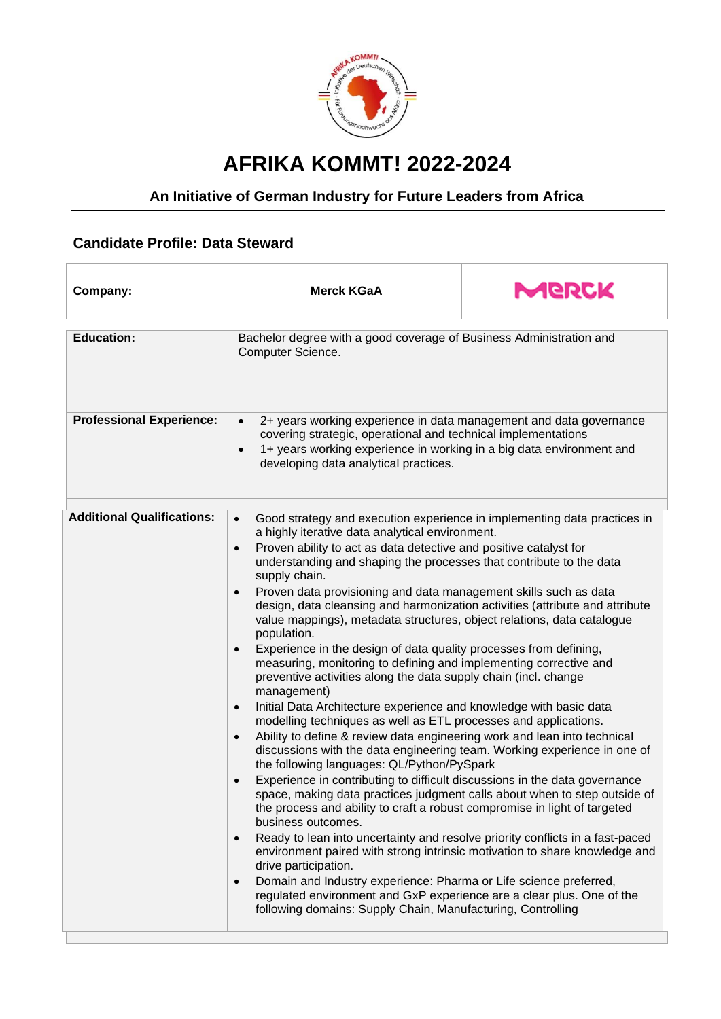

## **AFRIKA KOMMT! 2022-2024**

## **An Initiative of German Industry for Future Leaders from Africa**

## **Candidate Profile: Data Steward**

| Company:                          | <b>Merck KGaA</b>                                                                                                                                                                                                                                                                                                                                                                                                                                                                                                                                                                                                                                                                                                                                                                                                     | MGRCK |
|-----------------------------------|-----------------------------------------------------------------------------------------------------------------------------------------------------------------------------------------------------------------------------------------------------------------------------------------------------------------------------------------------------------------------------------------------------------------------------------------------------------------------------------------------------------------------------------------------------------------------------------------------------------------------------------------------------------------------------------------------------------------------------------------------------------------------------------------------------------------------|-------|
|                                   |                                                                                                                                                                                                                                                                                                                                                                                                                                                                                                                                                                                                                                                                                                                                                                                                                       |       |
| <b>Education:</b>                 | Bachelor degree with a good coverage of Business Administration and<br>Computer Science.                                                                                                                                                                                                                                                                                                                                                                                                                                                                                                                                                                                                                                                                                                                              |       |
|                                   |                                                                                                                                                                                                                                                                                                                                                                                                                                                                                                                                                                                                                                                                                                                                                                                                                       |       |
| <b>Professional Experience:</b>   | 2+ years working experience in data management and data governance<br>$\bullet$<br>covering strategic, operational and technical implementations<br>1+ years working experience in working in a big data environment and<br>$\bullet$<br>developing data analytical practices.                                                                                                                                                                                                                                                                                                                                                                                                                                                                                                                                        |       |
| <b>Additional Qualifications:</b> |                                                                                                                                                                                                                                                                                                                                                                                                                                                                                                                                                                                                                                                                                                                                                                                                                       |       |
|                                   | Good strategy and execution experience in implementing data practices in<br>$\bullet$<br>a highly iterative data analytical environment.<br>Proven ability to act as data detective and positive catalyst for<br>$\bullet$<br>understanding and shaping the processes that contribute to the data<br>supply chain.<br>Proven data provisioning and data management skills such as data<br>$\bullet$<br>design, data cleansing and harmonization activities (attribute and attribute<br>value mappings), metadata structures, object relations, data catalogue<br>population.<br>Experience in the design of data quality processes from defining,<br>$\bullet$<br>measuring, monitoring to defining and implementing corrective and<br>preventive activities along the data supply chain (incl. change<br>management) |       |
|                                   |                                                                                                                                                                                                                                                                                                                                                                                                                                                                                                                                                                                                                                                                                                                                                                                                                       |       |
|                                   |                                                                                                                                                                                                                                                                                                                                                                                                                                                                                                                                                                                                                                                                                                                                                                                                                       |       |
|                                   |                                                                                                                                                                                                                                                                                                                                                                                                                                                                                                                                                                                                                                                                                                                                                                                                                       |       |
|                                   |                                                                                                                                                                                                                                                                                                                                                                                                                                                                                                                                                                                                                                                                                                                                                                                                                       |       |
|                                   |                                                                                                                                                                                                                                                                                                                                                                                                                                                                                                                                                                                                                                                                                                                                                                                                                       |       |
|                                   |                                                                                                                                                                                                                                                                                                                                                                                                                                                                                                                                                                                                                                                                                                                                                                                                                       |       |
|                                   |                                                                                                                                                                                                                                                                                                                                                                                                                                                                                                                                                                                                                                                                                                                                                                                                                       |       |
|                                   |                                                                                                                                                                                                                                                                                                                                                                                                                                                                                                                                                                                                                                                                                                                                                                                                                       |       |
|                                   |                                                                                                                                                                                                                                                                                                                                                                                                                                                                                                                                                                                                                                                                                                                                                                                                                       |       |
|                                   |                                                                                                                                                                                                                                                                                                                                                                                                                                                                                                                                                                                                                                                                                                                                                                                                                       |       |
|                                   |                                                                                                                                                                                                                                                                                                                                                                                                                                                                                                                                                                                                                                                                                                                                                                                                                       |       |
|                                   | Initial Data Architecture experience and knowledge with basic data<br>$\bullet$                                                                                                                                                                                                                                                                                                                                                                                                                                                                                                                                                                                                                                                                                                                                       |       |
|                                   | modelling techniques as well as ETL processes and applications.                                                                                                                                                                                                                                                                                                                                                                                                                                                                                                                                                                                                                                                                                                                                                       |       |
|                                   | Ability to define & review data engineering work and lean into technical<br>$\bullet$                                                                                                                                                                                                                                                                                                                                                                                                                                                                                                                                                                                                                                                                                                                                 |       |
|                                   | discussions with the data engineering team. Working experience in one of<br>the following languages: QL/Python/PySpark                                                                                                                                                                                                                                                                                                                                                                                                                                                                                                                                                                                                                                                                                                |       |
|                                   | Experience in contributing to difficult discussions in the data governance<br>$\bullet$                                                                                                                                                                                                                                                                                                                                                                                                                                                                                                                                                                                                                                                                                                                               |       |
|                                   | space, making data practices judgment calls about when to step outside of                                                                                                                                                                                                                                                                                                                                                                                                                                                                                                                                                                                                                                                                                                                                             |       |
|                                   | the process and ability to craft a robust compromise in light of targeted                                                                                                                                                                                                                                                                                                                                                                                                                                                                                                                                                                                                                                                                                                                                             |       |
|                                   | business outcomes.                                                                                                                                                                                                                                                                                                                                                                                                                                                                                                                                                                                                                                                                                                                                                                                                    |       |
|                                   | Ready to lean into uncertainty and resolve priority conflicts in a fast-paced<br>$\bullet$                                                                                                                                                                                                                                                                                                                                                                                                                                                                                                                                                                                                                                                                                                                            |       |
|                                   | environment paired with strong intrinsic motivation to share knowledge and                                                                                                                                                                                                                                                                                                                                                                                                                                                                                                                                                                                                                                                                                                                                            |       |
|                                   | drive participation.                                                                                                                                                                                                                                                                                                                                                                                                                                                                                                                                                                                                                                                                                                                                                                                                  |       |
|                                   | Domain and Industry experience: Pharma or Life science preferred,<br>$\bullet$                                                                                                                                                                                                                                                                                                                                                                                                                                                                                                                                                                                                                                                                                                                                        |       |
|                                   | regulated environment and GxP experience are a clear plus. One of the                                                                                                                                                                                                                                                                                                                                                                                                                                                                                                                                                                                                                                                                                                                                                 |       |
|                                   | following domains: Supply Chain, Manufacturing, Controlling                                                                                                                                                                                                                                                                                                                                                                                                                                                                                                                                                                                                                                                                                                                                                           |       |
|                                   |                                                                                                                                                                                                                                                                                                                                                                                                                                                                                                                                                                                                                                                                                                                                                                                                                       |       |